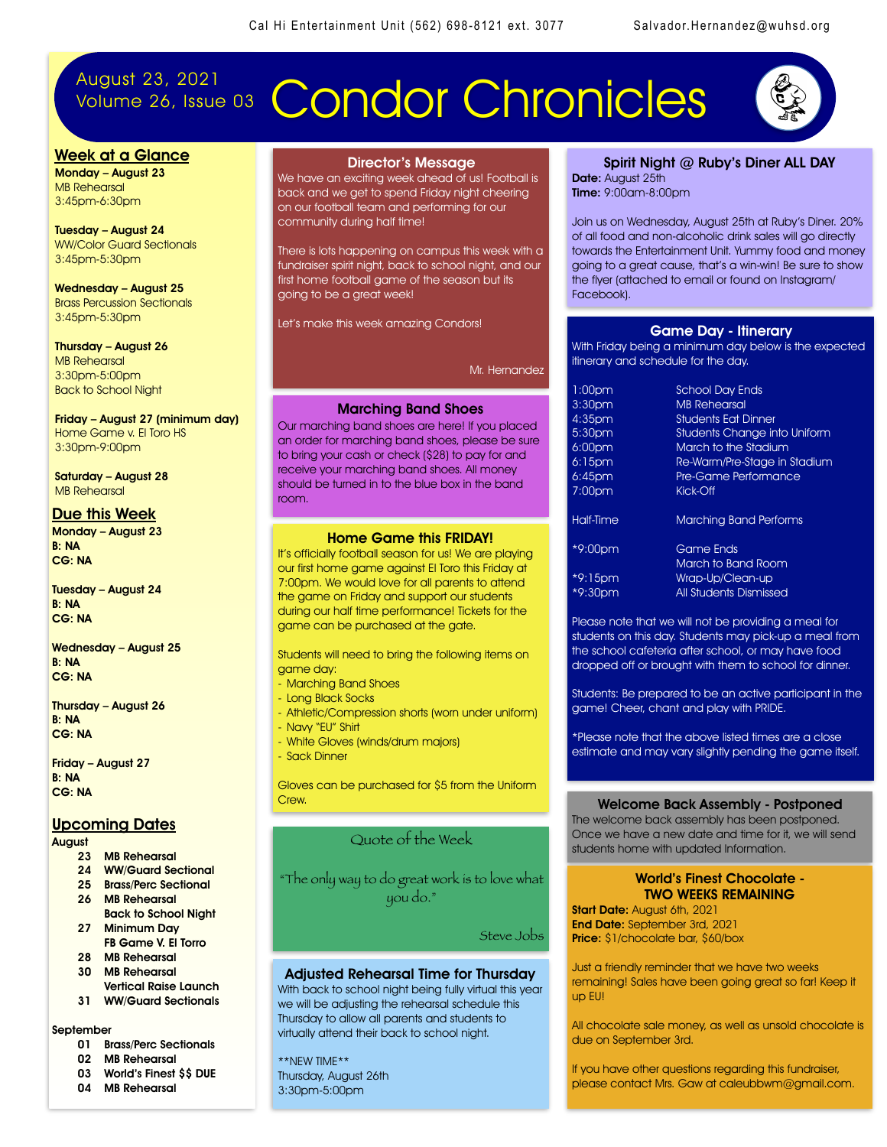# August 23, 2021

# Volume 26, Issue 03 Condor Chronicles



#### Week at a Glance

Monday – August 23 MB Rehearsal 3:45pm-6:30pm

Tuesday – August 24 WW/Color Guard Sectionals 3:45pm-5:30pm

Wednesday – August 25 Brass Percussion Sectionals 3:45pm-5:30pm

Thursday – August 26 MB Rehearsal 3:30pm-5:00pm Back to School Night

Friday – August 27 (minimum day) Home Game v. El Toro HS 3:30pm-9:00pm

Saturday – August 28 MB Rehearsal

#### Due this Week

Monday – August 23 B: NA CG: NA

Tuesday – August 24 B: NA CG: NA

Wednesday – August 25 B: NA CG: NA

Thursday – August 26 B: NA CG: NA

Friday – August 27 B: NA CG: NA

#### Upcoming Dates

August

- 23 MB Rehearsal
- 24 WW/Guard Sectional
- 25 Brass/Perc Sectional
- 26 MB Rehearsal
- Back to School Night 27 Minimum Day
- FB Game V. El Torro 28 MB Rehearsal
- 30 MB Rehearsal
- Vertical Raise Launch 31 WW/Guard Sectionals

#### September

- 01 Brass/Perc Sectionals
- 02 MB Rehearsal
- 03 World's Finest \$\$ DUE
- 04 MB Rehearsal

#### Director's Message

We have an exciting week ahead of us! Football is back and we get to spend Friday night cheering on our football team and performing for our community during half time!

There is lots happening on campus this week with a fundraiser spirit night, back to school night, and our first home football game of the season but its going to be a great week!

Let's make this week amazing Condors!

Mr. Hernandez

#### Marching Band Shoes

Our marching band shoes are here! If you placed an order for marching band shoes, please be sure to bring your cash or check (\$28) to pay for and receive your marching band shoes. All money should be turned in to the blue box in the band room.

#### Home Game this FRIDAY!

It's officially football season for us! We are playing our first home game against El Toro this Friday at 7:00pm. We would love for all parents to attend the game on Friday and support our students during our half time performance! Tickets for the game can be purchased at the gate.

Students will need to bring the following items on game day:

- Marching Band Shoes
- Long Black Socks
- Athletic/Compression shorts (worn under uniform)
- Navy "EU" Shirt
- White Gloves (winds/drum majors)
- Sack Dinner

Gloves can be purchased for \$5 from the Uniform Crew.

#### Quote of the Week

"The only way to do great work is to love what you do."

Steve Jobs

#### Adjusted Rehearsal Time for Thursday

With back to school night being fully virtual this year we will be adjusting the rehearsal schedule this Thursday to allow all parents and students to virtually attend their back to school night.

\*\*NEW TIME\*\* Thursday, August 26th 3:30pm-5:00pm

#### Spirit Night @ Ruby's Diner ALL DAY Date: August 25th Time: 9:00am-8:00pm

Join us on Wednesday, August 25th at Ruby's Diner. 20% of all food and non-alcoholic drink sales will go directly towards the Entertainment Unit. Yummy food and money going to a great cause, that's a win-win! Be sure to show the flyer (attached to email or found on Instagram/ Facebook).

#### Game Day - Itinerary

With Friday being a minimum day below is the expected itinerary and schedule for the day.

| 1:00pm             | <b>School Day Ends</b>              |
|--------------------|-------------------------------------|
| 3:30 <sub>pm</sub> | <b>MB Rehearsal</b>                 |
| $4:35$ pm          | <b>Students Eat Dinner</b>          |
| 5:30pm             | <b>Students Change into Uniform</b> |
| 6:00 <sub>pm</sub> | March to the Stadium                |
| $6:15$ pm          | Re-Warm/Pre-Stage in Stadium        |
| 6:45pm             | Pre-Game Performance                |
| $7:00$ pm          | Kick-Off                            |
| Half-Time          | <b>Marching Band Performs</b>       |
| *9:00pm            | <b>Game Ends</b>                    |
|                    | March to Band Room                  |
| *9:15pm            | Wrap-Up/Clean-up                    |
| *9:30pm            | All Students Dismissed              |

Please note that we will not be providing a meal for students on this day. Students may pick-up a meal from the school cafeteria after school, or may have food dropped off or brought with them to school for dinner.

Students: Be prepared to be an active participant in the game! Cheer, chant and play with PRIDE.

\*Please note that the above listed times are a close estimate and may vary slightly pending the game itself.

#### Welcome Back Assembly - Postponed

The welcome back assembly has been postponed. Once we have a new date and time for it, we will send students home with updated Information.

#### World's Finest Chocolate - TWO WEEKS REMAINING

Start Date: August 6th, 2021 End Date: September 3rd, 2021 Price: \$1/chocolate bar, \$60/box

Just a friendly reminder that we have two weeks remaining! Sales have been going great so far! Keep it up EU!

All chocolate sale money, as well as unsold chocolate is due on September 3rd.

If you have other questions regarding this fundraiser, please contact Mrs. Gaw at caleubbwm@gmail.com.